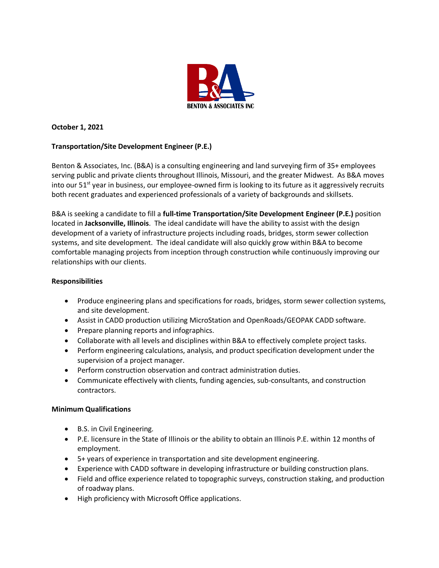

# **October 1, 2021**

## **Transportation/Site Development Engineer (P.E.)**

Benton & Associates, Inc. (B&A) is a consulting engineering and land surveying firm of 35+ employees serving public and private clients throughout Illinois, Missouri, and the greater Midwest. As B&A moves into our  $51<sup>st</sup>$  year in business, our employee-owned firm is looking to its future as it aggressively recruits both recent graduates and experienced professionals of a variety of backgrounds and skillsets.

B&A is seeking a candidate to fill a **full-time Transportation/Site Development Engineer (P.E.)** position located in **Jacksonville, Illinois**. The ideal candidate will have the ability to assist with the design development of a variety of infrastructure projects including roads, bridges, storm sewer collection systems, and site development. The ideal candidate will also quickly grow within B&A to become comfortable managing projects from inception through construction while continuously improving our relationships with our clients.

### **Responsibilities**

- Produce engineering plans and specifications for roads, bridges, storm sewer collection systems, and site development.
- Assist in CADD production utilizing MicroStation and OpenRoads/GEOPAK CADD software.
- Prepare planning reports and infographics.
- Collaborate with all levels and disciplines within B&A to effectively complete project tasks.
- Perform engineering calculations, analysis, and product specification development under the supervision of a project manager.
- Perform construction observation and contract administration duties.
- Communicate effectively with clients, funding agencies, sub-consultants, and construction contractors.

### **Minimum Qualifications**

- B.S. in Civil Engineering.
- P.E. licensure in the State of Illinois or the ability to obtain an Illinois P.E. within 12 months of employment.
- 5+ years of experience in transportation and site development engineering.
- Experience with CADD software in developing infrastructure or building construction plans.
- Field and office experience related to topographic surveys, construction staking, and production of roadway plans.
- High proficiency with Microsoft Office applications.